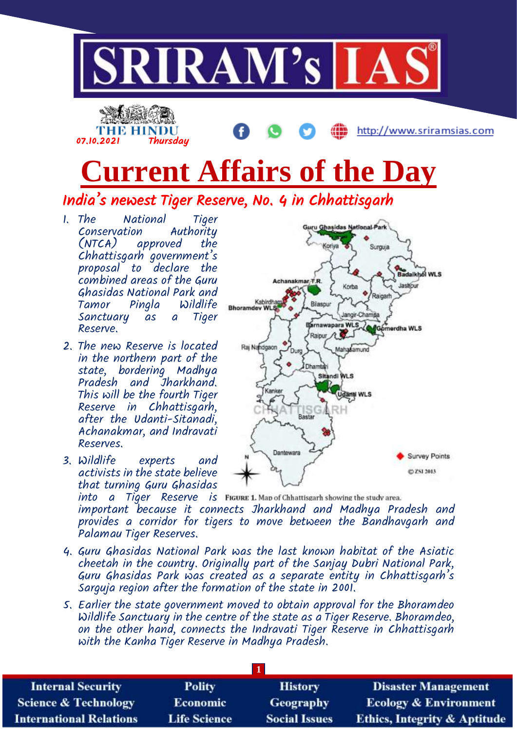

# **Current Affairs of the Day**

India's newest Tiger Reserve, No. 4 in Chhattisgarh

1. The National Tiger Conservation Authority approved Chhattisgarh government's proposal to declare the combined areas of the Guru Ghasidas National Park and Pingla Sanctuary as a Tiger Reserve.

07.10.2021 Thursday

- 2. The new Reserve is located in the northern part of the state, bordering Madhya Pradesh and Jharkhand. This will be the fourth Tiger Reserve in Chhattisgarh, after the Udanti-Sitanadi, Achanakmar, and Indravati Reserves.
- 3. Wildlife experts and activists in the state believe that turning Guru Ghasidas

Guru Ghasidas National Park Koriya Surguja **Badalkhol WLS** Achanakmar T.R. Jaskour Korba Raigart Kabirdhan<br>Bhoramdev WLS Bilaspur Jangir-Champa Barnawapara WLS erdha WLS Raipur A Raj Nandgaon Mahasamund Durc **Dhamtari** Sitandi WLS **Udanti WLS Bastar** Dantewara **Survey Points** (2) ZSI 2013

 $into$   $a$   $T\ddot{q}$ er Reserve is FIGURE 1. Map of Chhattisgarh showing the study area. important because it connects Jharkhand and Madhya Pradesh and provides a corridor for tigers to move between the Bandhavgarh and Palamau Tiger Reserves.

- 4. Guru Ghasidas National Park was the last known habitat of the Asiatic cheetah in the country. Originally part of the Sanjay Dubri National Park, Guru Ghasidas Park was created as a separate entity in Chhattisgarh's Sarguja region after the formation of the state in 2001.
- 5. Earlier the state government moved to obtain approval for the Bhoramdeo Wildlife Sanctuary in the centre of the state as a Tiger Reserve. Bhoramdeo, on the other hand, connects the Indravati Tiger Reserve in Chhattisgarh with the Kanha Tiger Reserve in Madhya Pradesh.

| <b>Internal Security</b>        | <b>Polity</b>       | <b>History</b>       | <b>Disaster Management</b>              |
|---------------------------------|---------------------|----------------------|-----------------------------------------|
| <b>Science &amp; Technology</b> | <b>Economic</b>     | <b>Geography</b>     | <b>Ecology &amp; Environment</b>        |
| <b>International Relations</b>  | <b>Life Science</b> | <b>Social Issues</b> | <b>Ethics, Integrity &amp; Aptitude</b> |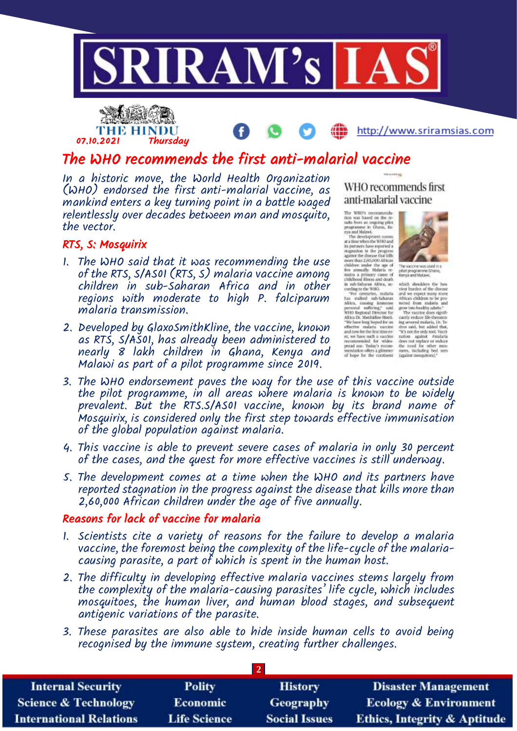



## The WHO recommends the first anti-malarial vaccine

In a historic move, the World Health Organization (WHO) endorsed the first anti-malarial vaccine, as mankind enters a key turning point in a battle waged relentlessly over decades between man and mosquito, the vector.

#### RTS, S: Mosquirix

- 1. The WHO said that it was recommending the use of the RTS, S/AS01 (RTS, S) malaria vaccine among children in sub-Saharan Africa and in other regions with moderate to high P. falciparum malaria transmission.
- 2. Developed by GlaxoSmithKline, the vaccine, known as RTS, S/AS01, has already been administered to nearly 8 lakh children in Ghana, Kenya and Malawi as part of a pilot programme since 2019.

WHO recommends first anti-malarial vaccine

The WHO's recommends<br>tion was based on the results from an origing pilot<br>programme in Ghana, Kenya and Malawi.



programme it Chana, Richard (1993), the system is considered to the development comes as the programme is the progress of the properties and the properties of the properties and development of the properties and developme

- 3. The WHO endorsement paves the way for the use of this vaccine outside the pilot programme, in all areas where malaria is known to be widely prevalent. But the RTS.S/AS01 vaccine, known by its brand name of Mosquirix, is considered only the first step towards effective immunisation of the global population against malaria.
- 4. This vaccine is able to prevent severe cases of malaria in only 30 percent of the cases, and the quest for more effective vaccines is still underway.
- 5. The development comes at a time when the WHO and its partners have reported stagnation in the progress against the disease that kills more than 2,60,000 African children under the age of five annually.

#### Reasons for lack of vaccine for malaria

- 1. Scientists cite a variety of reasons for the failure to develop a malaria vaccine, the foremost being the complexity of the life-cycle of the malariacausing parasite, a part of which is spent in the human host.
- 2. The difficulty in developing effective malaria vaccines stems largely from the complexity of the malaria-causing parasites' life cycle, which includes mosquitoes, the human liver, and human blood stages, and subsequent antigenic variations of the parasite.
- 3. These parasites are also able to hide inside human cells to avoid being recognised by the immune system, creating further challenges.

| <b>Internal Security</b>        | <b>Polity</b>       | <b>History</b>       | <b>Disaster Management</b>              |
|---------------------------------|---------------------|----------------------|-----------------------------------------|
| <b>Science &amp; Technology</b> | <b>Economic</b>     | <b>Geography</b>     | <b>Ecology &amp; Environment</b>        |
| <b>International Relations</b>  | <b>Life Science</b> | <b>Social Issues</b> | <b>Ethics, Integrity &amp; Aptitude</b> |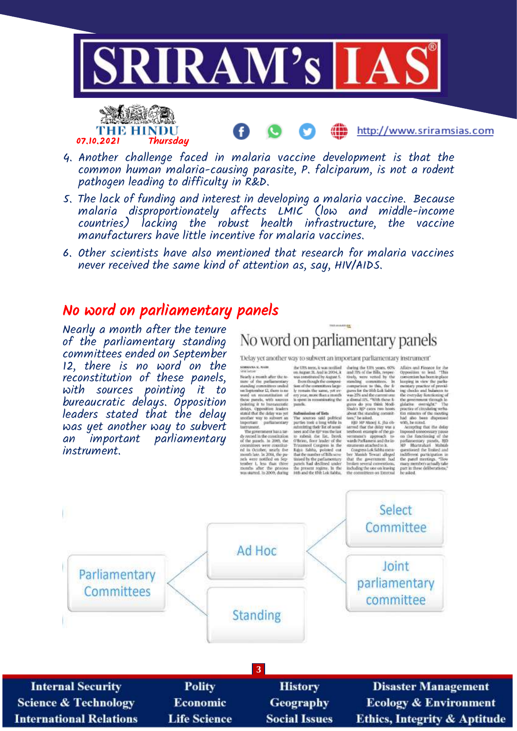

- 4. Another challenge faced in malaria vaccine development is that the common human malaria-causing parasite, P. falciparum, is not a rodent pathogen leading to difficulty in R&D.
- 5. The lack of funding and interest in developing a malaria vaccine. Because malaria disproportionately affects LMIC (low and middle-income countries) lacking the robust health infrastructure, the vaccine manufacturers have little incentive for malaria vaccines.
- 6. Other scientists have also mentioned that research for malaria vaccines never received the same kind of attention as, say, HIV/AIDS.

### No word on parliamentary panels

Nearly a month after the tenure of the parliamentary standing committees ended on September 12, there is no word on the reconstitution of these panels, with sources pointing it to bureaucratic delays. Opposition leaders stated that the delay was yet another way to subvert an important parliamentary instrument.

THE HINDU<br>07.10.2021 Thursdau

No word on parliamentary panels

æ

'Delay yet another way to subvert an important parliamentary instrument'

To<br>clay yet another way to subwert an important parliamentary instrument<br> $\alpha$  such as the two sections of the two sections of the summarized density of the summarized by the summarized by state of the summarized by state

http://www.sriramsias.com

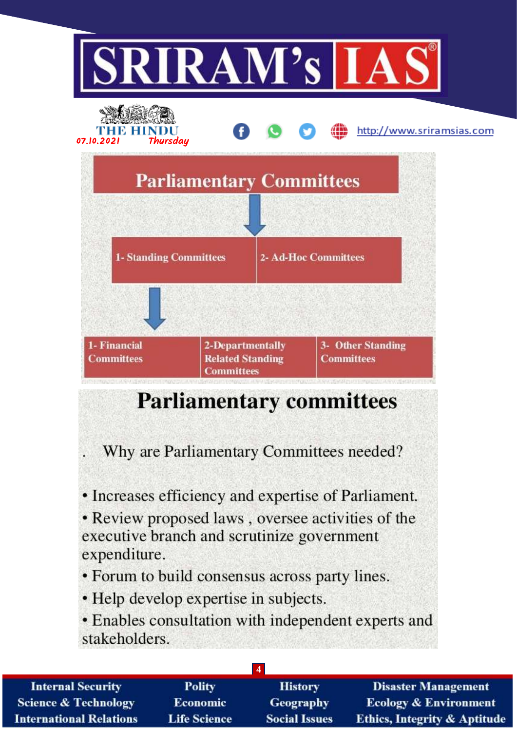

# **Parliamentary committees**

Why are Parliamentary Committees needed?

• Increases efficiency and expertise of Parliament.

• Review proposed laws, oversee activities of the executive branch and scrutinize government expenditure.

• Forum to build consensus across party lines.

• Help develop expertise in subjects.

• Enables consultation with independent experts and stakeholders.

**4**

**Polity Internal Security History Science & Technology Economic Geography Life Science International Relations Social Issues** 

**Disaster Management Ecology & Environment Ethics, Integrity & Aptitude**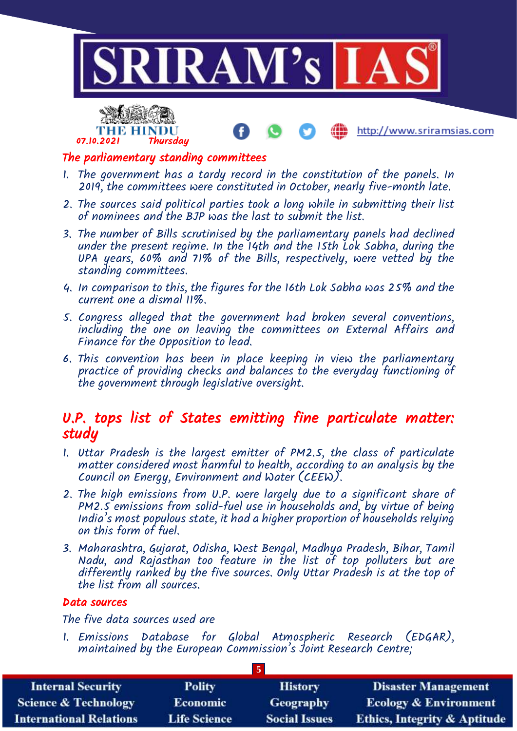



### The parliamentary standing committees

- 1. The government has a tardy record in the constitution of the panels. In 2019, the committees were constituted in October, nearly five-month late.
- 2. The sources said political parties took a long while in submitting their list of nominees and the BJP was the last to submit the list.
- 3. The number of Bills scrutinised by the parliamentary panels had declined under the present regime. In the 14th and the 15th Lok Sabha, during the UPA years, 60% and 71% of the Bills, respectively, were vetted by the standing committees.
- 4. In comparison to this, the figures for the 16th Lok Sabha was 25% and the current one a dismal 11%.
- 5. Congress alleged that the government had broken several conventions, including the one on leaving the committees on External Affairs and Finance for the Opposition to lead.
- 6. This convention has been in place keeping in view the parliamentary practice of providing checks and balances to the everyday functioning of the government through legislative oversight.

### U.P. tops list of States emitting fine particulate matter: study

- 1. Uttar Pradesh is the largest emitter of PM2.5, the class of particulate matter considered most harmful to health, according to an analysis by the Council on Energy, Environment and Water (CEEW).
- 2. The high emissions from U.P. were largely due to a significant share of PM2.5 emissions from solid-fuel use in households and, by virtue of being India's most populous state, it had a higher proportion of households relying on this form of fuel.
- 3. Maharashtra, Gujarat, Odisha, West Bengal, Madhya Pradesh, Bihar, Tamil Nadu, and Rajasthan too feature in the list of top polluters but are differently ranked by the five sources. Only Uttar Pradesh is at the top of the list from all sources.

#### Data sources

The five data sources used are

1. Emissions Database for Global Atmospheric Research (EDGAR), maintained by the European Commission's Joint Research Centre;

| <b>Internal Security</b>        | <b>Polity</b>       | <b>History</b>       | <b>Disaster Management</b>              |
|---------------------------------|---------------------|----------------------|-----------------------------------------|
| <b>Science &amp; Technology</b> | <b>Economic</b>     | <b>Geography</b>     | <b>Ecology &amp; Environment</b>        |
| <b>International Relations</b>  | <b>Life Science</b> | <b>Social Issues</b> | <b>Ethics, Integrity &amp; Aptitude</b> |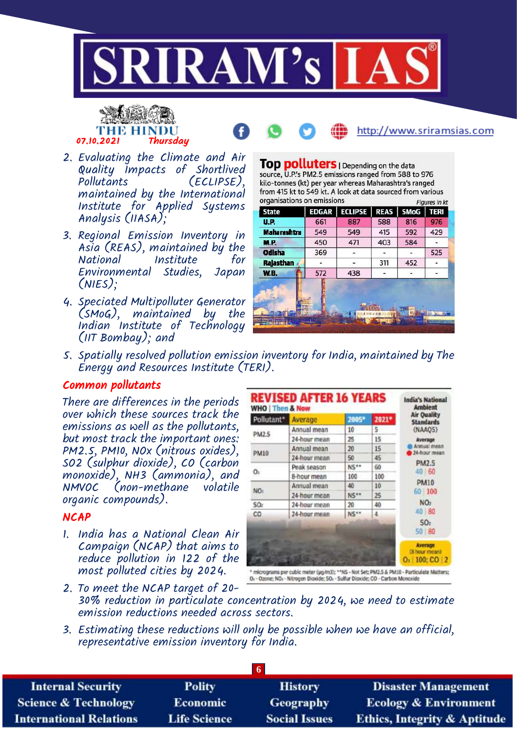





- 2. Evaluating the Climate and Air Quality Impacts of Shortlived (ECLIPSE), maintained by the International Institute for Applied Systems Analysis (IIASA);
- 3. Regional Emission Inventory in Asia (REAS), maintained by the National Institute for Environmental Studies, Japan (NIES);
- 4. Speciated Multipolluter Generator (SMoG), maintained by the Indian Institute of Technology (IIT Bombay); and

Top polluters | Depending on the data source, U.P.'s PM2.5 emissions ranged from 588 to 976 kilo-tonnes (kt) per year whereas Maharashtra's ranged from 415 kt to 549 kt. A look at data sourced from various organisations on emissions **Figures in kt** 

| <b>State</b>       | <b>EDGAR</b> | <b>ECLIPSE</b> | <b>REAS</b> | <b>SMoG</b> | <b>TERI</b> |
|--------------------|--------------|----------------|-------------|-------------|-------------|
| U.P.               | 661          | 887            | 588         | 816         | 976         |
| <b>Maharashtra</b> | 549          | 549            | 415         | 592         | 429         |
| <b>M.P.</b>        | 450          | 471            | 403         | 584         |             |
| Odisha             | 369          |                |             |             | 525         |
| Rajasthan          |              |                | 311         | 452         |             |
| <b>W.B.</b>        | 572          | 438            |             |             |             |
|                    |              |                |             |             |             |
|                    |              |                |             |             |             |
|                    |              |                |             |             |             |

5. Spatially resolved pollution emission inventory for India, maintained by The Energy and Resources Institute (TERI).

#### Common pollutants

There are differences in the periods over which these sources track the emissions as well as the pollutants, but most track the important ones: PM2.5, PM10, NOx (nitrous oxides), SO2 (sulphur dioxide), CO (carbon monoxide), NH3 (ammonia), and NMVOC (non-methane volatile organic compounds).

#### **NCAP**

1. India has a National Clean Air Campaign (NCAP) that aims to reduce pollution in 122 of the most polluted cities by 2024.

| Pollutant*  | Average      | 2005* | 2021* | <b>Air Ouality</b><br><b>Standards</b>               |
|-------------|--------------|-------|-------|------------------------------------------------------|
| PM2.5       | Annual mean  | 10    | 5     | (NAAQS)                                              |
|             | 24-hour mean | 25    | 15    | Average                                              |
| <b>PM10</b> | Annual mean  | 20    | 15    | Annual mean<br>24-hour mean                          |
|             | 24-hour mean | 50    | 45    |                                                      |
|             | Peak season  | NS**  | 60    | PM2.5<br>40 60                                       |
| Oı          | 8-hour mean  | 100   | 100   |                                                      |
|             | Annual mean  | 40    | 10    | <b>PM10</b>                                          |
| NO:         | 24-hour mean | NS**  | 25    | 60 100                                               |
| SOz         | 24-hour mean | 20    | 40    | NO <sub>2</sub>                                      |
| co          | 24-hour mean | NS**  | 4     | 40 80                                                |
|             |              |       |       | SO <sub>2</sub><br>50 80                             |
|             |              |       |       | <b>Average</b><br>(8 hour mean)<br>$100; CO$ 2<br>о. |

\* micrograms per cubic meter (pg/m3); \*\*NS - Not Set; PM2.5 & PM10 - Particu<br>Os - Ozone; NOs - Nitrogen Dioxide; SOs - Sulfur Dioxide; CO - Carbon Monoxide

- 2. To meet the NCAP target of 20- 30% reduction in particulate concentration by 2024, we need to estimate emission reductions needed across sectors.
- 3. Estimating these reductions will only be possible when we have an official, representative emission inventory for India.

| <b>Internal Security</b>        | <b>Polity</b>       | <b>History</b>       | <b>Disaster Management</b>              |
|---------------------------------|---------------------|----------------------|-----------------------------------------|
| <b>Science &amp; Technology</b> | <b>Economic</b>     | <b>Geography</b>     | <b>Ecology &amp; Environment</b>        |
| <b>International Relations</b>  | <b>Life Science</b> | <b>Social Issues</b> | <b>Ethics, Integrity &amp; Aptitude</b> |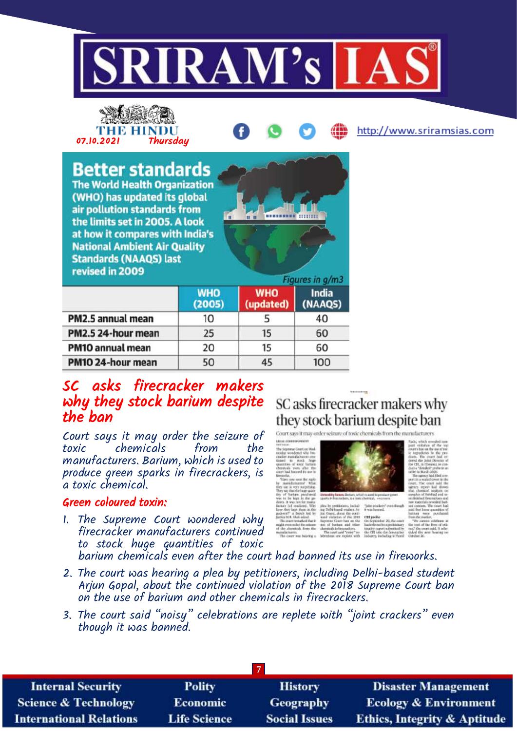



# 07.10.2021 Thursday

**Better standards The World Health Organization** (WHO) has updated its global air pollution standards from the limits set in 2005. A look at how it compares with India's **National Ambient Air Quality Standards (NAAQS) last** revised in 2009



|                    | <b>WHO</b><br>(2005) | <b>WHO</b><br>(updated) | <b>India</b><br>(NAAQS) |
|--------------------|----------------------|-------------------------|-------------------------|
| PM2.5 annual mean  | 10                   |                         | 40                      |
| PM2.5 24-hour mean | 25                   | 15                      | 60                      |
| PM10 annual mean   | 20                   | 15                      | 60                      |
| PM10 24-hour mean  | 50                   | 45                      | 100                     |

# SC asks firecracker makers why they stock barium despite the ban

Court says it may order the seizure of toxic chemicals manufacturers. Barium, which is used to produce green sparks in firecrackers, is a toxic chemical.

#### Green coloured toxin:

1. The Supreme Court wondered why firecracker manufacturers continued to stock huge quantities of toxic

# SC asks firecracker makers why they stock barium despite ban

Court says it may order scizure of toxic chemicals from the





cut prof<br>On Scott

http://www.sriramsias.com

barium chemicals even after the court had banned its use in fireworks.

- 2. The court was hearing a plea by petitioners, including Delhi-based student Arjun Gopal, about the continued violation of the 2018 Supreme Court ban on the use of barium and other chemicals in firecrackers.
- 3. The court said "noisy" celebrations are replete with "joint crackers" even though it was banned.

| <b>Internal Security</b>        | <b>Polity</b>       | <b>History</b>       | <b>Disaster Management</b>              |
|---------------------------------|---------------------|----------------------|-----------------------------------------|
| <b>Science &amp; Technology</b> | <b>Economic</b>     | Geography            | <b>Ecology &amp; Environment</b>        |
| <b>International Relations</b>  | <b>Life Science</b> | <b>Social Issues</b> | <b>Ethics, Integrity &amp; Aptitude</b> |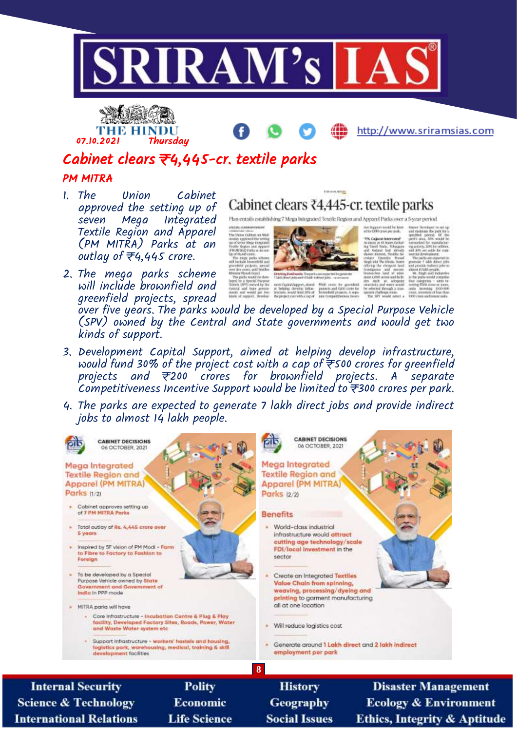



# Cabinet clears ₹4,445-cr. textile parks

#### PM MITRA

- 1. The Union Cabinet approved the setting up of<br>seven Mega Integrated seven Mega Textile Region and Apparel (PM MITRA) Parks at an outlay of  $\overline{\tau}$ 4,445 crore.
- 2. The mega parks scheme will include brownfield and greenfield projects, spread



TULinia ALENGE Cabinet clears ₹4,445-cr. textile parks

racticapas rapper, arees. This creer Av 1<br>in helping develop lates - projects and 6200<br>tracters, maddited 20% of - boxesfield project

rive Support would be limited TN, Gajarar interested

over five years. The parks would be developed by a Special Purpose Vehicle (SPV) owned by the Central and State governments and would get two kinds of support.

- 3. Development Capital Support, aimed at helping develop infrastructure, would fund 30% of the project cost with a cap of ₹500 crores for greenfield projects and ₹200 crores for brownfield projects. A separate Competitiveness Incentive Support would be limited to  $\bar{\vec{r}}$ 300 crores per park.
- 4. The parks are expected to generate 7 lakh direct jobs and provide indirect jobs to almost 14 lakh people.



**Science & Technology International Relations** 

Economic **Life Science** 

**Social Issues** 

**Disaster Management Ecology & Environment Ethics, Integrity & Aptitude**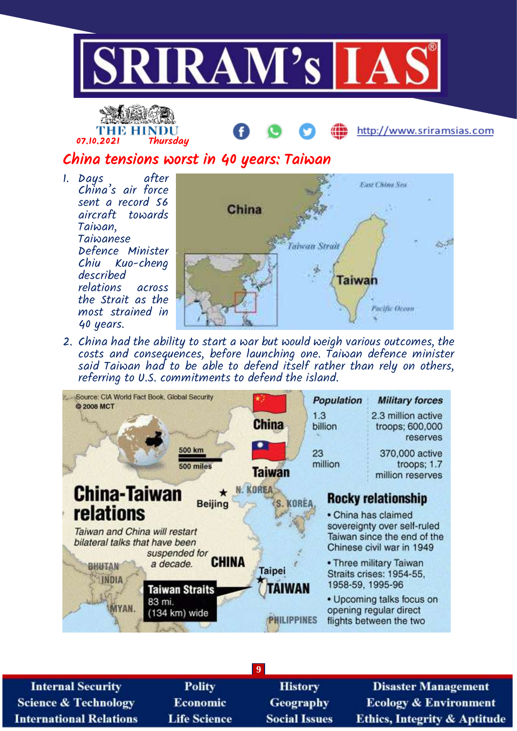



# China tensions worst in 40 years: Taiwan

1. Days after China's air force sent a record 56 aircraft towards Taiwan, Taiwanese Defence Minister Chiu Kuo-cheng described relations across the Strait as the most strained in 40 years.



2. China had the ability to start a war but would weigh various outcomes, the costs and consequences, before launching one. Taiwan defence minister said Taiwan had to be able to defend itself rather than rely on others, referring to U.S. commitments to defend the island.



| <b>Internal Security</b>        | <b>Polity</b>       | <b>History</b>       | <b>Disaster Management</b>              |
|---------------------------------|---------------------|----------------------|-----------------------------------------|
| <b>Science &amp; Technology</b> | <b>Economic</b>     | <b>Geography</b>     | <b>Ecology &amp; Environment</b>        |
| <b>International Relations</b>  | <b>Life Science</b> | <b>Social Issues</b> | <b>Ethics, Integrity &amp; Aptitude</b> |